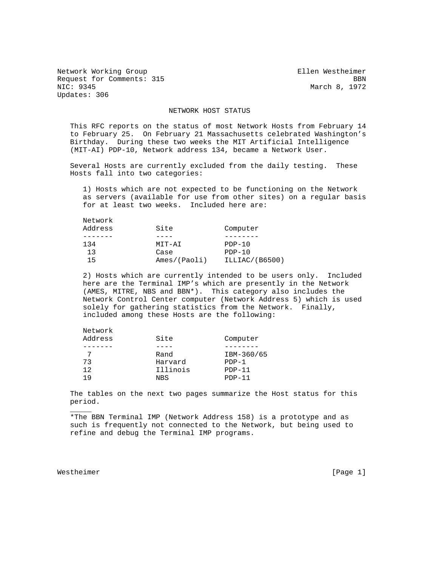Network Working Group Ellen Westheimer Request for Comments: 315 BBN<br>NIC: 9345 BBN Updates: 306

March 8, 1972

## NETWORK HOST STATUS

 This RFC reports on the status of most Network Hosts from February 14 to February 25. On February 21 Massachusetts celebrated Washington's Birthday. During these two weeks the MIT Artificial Intelligence (MIT-AI) PDP-10, Network address 134, became a Network User.

 Several Hosts are currently excluded from the daily testing. These Hosts fall into two categories:

 1) Hosts which are not expected to be functioning on the Network as servers (available for use from other sites) on a regular basis for at least two weeks. Included here are:

| Network |              |                |
|---------|--------------|----------------|
| Address | Site         | Computer       |
|         |              |                |
| 134     | MIT-AI       | $PDF-10$       |
| 13      | Case         | $PDP-10$       |
| 15      | Ames/(Paoli) | ILLIAC/(B6500) |

 2) Hosts which are currently intended to be users only. Included here are the Terminal IMP's which are presently in the Network (AMES, MITRE, NBS and BBN\*). This category also includes the Network Control Center computer (Network Address 5) which is used solely for gathering statistics from the Network. Finally, included among these Hosts are the following:

| Network<br>Address | Site            | Computer   |
|--------------------|-----------------|------------|
|                    |                 |            |
|                    | Rand            | IBM-360/65 |
| 73                 | Harvard         | $PDP-1$    |
| 12                 | Illinois        | $PDP-11$   |
| 1 Q                | NB <sub>S</sub> | $PDP-11$   |

 The tables on the next two pages summarize the Host status for this period.

 \*The BBN Terminal IMP (Network Address 158) is a prototype and as such is frequently not connected to the Network, but being used to refine and debug the Terminal IMP programs.

Westheimer [Page 1]

 $\mathcal{L}=\frac{1}{2}$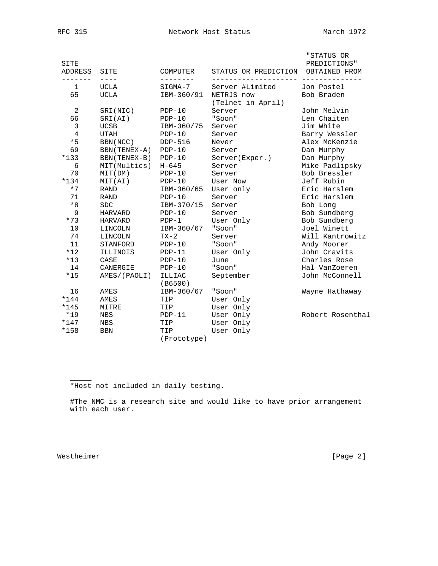| <b>SITE</b><br>ADDRESS<br>$- - - - -$ | SITE          | COMPUTER                 | STATUS OR PREDICTION            | "STATUS OR<br>PREDICTIONS"<br>OBTAINED FROM<br>--------- |
|---------------------------------------|---------------|--------------------------|---------------------------------|----------------------------------------------------------|
| 1                                     | UCLA          | SIGMA-7                  | Server #Limited                 | Jon Postel                                               |
| 65                                    | UCLA          | IBM-360/91               | NETRJS now<br>(Telnet in April) | Bob Braden                                               |
| 2                                     | SRI(NIC)      | $PDP-10$                 | Server                          | John Melvin                                              |
| 66                                    | SRI(AI)       | $PDP-10$                 | "Soon"                          | Len Chaiten                                              |
| 3                                     | <b>UCSB</b>   | IBM-360/75               | Server                          | Jim White                                                |
| $\overline{4}$                        | <b>UTAH</b>   | $PDP-10$                 | Server                          | Barry Wessler                                            |
| $*5$                                  | BBN (NCC)     | $DDP-516$                | Never                           | Alex McKenzie                                            |
| 69                                    | BBN (TENEX-A) | $PDP-10$                 | Server                          | Dan Murphy                                               |
| $*133$                                | BBN (TENEX-B) | $PDP-10$                 | Server(Exper.)                  | Dan Murphy                                               |
| 6                                     | MIT(Multics)  | $H - 645$                | Server                          | Mike Padlipsky                                           |
| 70                                    | MIT(DM)       | $PDP-10$                 | Server                          | Bob Bressler                                             |
| $*134$                                | MIT(AI)       | $PDP-10$                 | User Now                        | Jeff Rubin                                               |
| $*7$                                  | <b>RAND</b>   | IBM-360/65               | User only                       | Eric Harslem                                             |
| 71                                    | <b>RAND</b>   | $PDP-10$                 | Server                          | Eric Harslem                                             |
| $*8$                                  | <b>SDC</b>    | IBM-370/15               | Server                          | Bob Long                                                 |
| 9                                     | HARVARD       | $PDP-10$                 | Server                          | Bob Sundberg                                             |
| $*73$                                 | HARVARD       | $PDP-1$                  | User Only                       | Bob Sundberg                                             |
| 10                                    | LINCOLN       | IBM-360/67               | "Soon"                          | Joel Winett                                              |
| 74                                    | LINCOLN       | $TX-2$                   | Server                          | Will Kantrowitz                                          |
| 11                                    | STANFORD      | $PDP-10$                 | "Soon"                          | Andy Moorer                                              |
| $*12$                                 | ILLINOIS      | $PDP-11$                 | User Only                       | John Cravits                                             |
| $*13$                                 | CASE          | $PDP-10$                 | June                            | Charles Rose                                             |
| 14                                    | CANERGIE      | $PDP-10$                 | "Soon"                          | Hal VanZoeren                                            |
| $*15$                                 | AMES/(PAOLI)  | <b>ILLIAC</b><br>(B6500) | September                       | John McConnell                                           |
| 16                                    | AMES          | IBM-360/67               | "Soon"                          | Wayne Hathaway                                           |
| $*144$                                | <b>AMES</b>   | TIP                      | User Only                       |                                                          |
| $*145$                                | MITRE         | TIP                      | User Only                       |                                                          |
| $*19$                                 | <b>NBS</b>    | $PDP-11$                 | User Only                       | Robert Rosenthal                                         |
| $*147$                                | NBS           | TIP                      | User Only                       |                                                          |
| *158                                  | <b>BBN</b>    | TIP<br>(Prototype)       | User Only                       |                                                          |
|                                       |               |                          |                                 |                                                          |

\*Host not included in daily testing.

 #The NMC is a research site and would like to have prior arrangement with each user.

Westheimer [Page 2]

 $\mathcal{L}=\frac{1}{2}$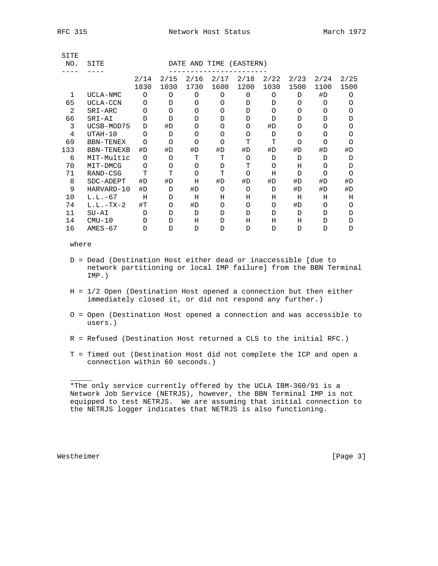| э.<br>. . | × |
|-----------|---|
|-----------|---|

| SITE |                   |          |          |               |          |           |          |          |          |          |
|------|-------------------|----------|----------|---------------|----------|-----------|----------|----------|----------|----------|
| NO.  | SITE              |          |          | DATE AND TIME |          | (EASTERN) |          |          |          |          |
|      |                   |          |          |               |          |           |          |          |          |          |
|      |                   | 2/14     | 2/15     | 2/16          | 2/17     | 2/18      | 2/22     | 2/23     | 2/24     | 2/25     |
|      |                   | 1830     | 1030     | 1730          | 1600     | 1200      | 1030     | 1500     | 1100     | 1500     |
| 1    | UCLA-NMC          | $\Omega$ | $\Omega$ | $\Omega$      | $\Omega$ | $\Omega$  | $\Omega$ | D        | #D       | $\Omega$ |
| 65   | UCLA-CCN          | ∩        | D        | $\Omega$      | $\Omega$ | D         | D        | ∩        | ∩        | $\Omega$ |
| 2    | SRI-ARC           | $\Omega$ | $\Omega$ | $\Omega$      | $\Omega$ | D         | $\Omega$ | $\Omega$ | $\Omega$ | $\Omega$ |
| 66   | SRI-AI            | D        | D        | D             | D        | D         | D        | D        | D        | D        |
| 3    | UCSB-MOD75        | D        | #D       | O             | O        | $\Omega$  | #D       | $\Omega$ | O        | O        |
| 4    | UTAH-10           | $\Omega$ | D        | O             | O        | $\Omega$  | D        | $\Omega$ | $\Omega$ | O        |
| 69   | BBN-TENEX         | ∩        | $\Omega$ | $\Omega$      | $\Omega$ | т         | Ͳ        | $\Omega$ | $\Omega$ | $\Omega$ |
| 133  | <b>BBN-TENEXB</b> | #D       | #D       | #D            | #D       | #D        | #D       | #D       | #D       | #D       |
| 6    | MIT-Multic        | $\Omega$ | O        | T             | т        | O         | D        | D        | D        | D        |
| 70   | MIT-DMCG          | O        | $\Omega$ | $\Omega$      | D        | T         | $\Omega$ | Η        | O        | D        |
| 71   | RAND-CSG          | T        | T        | $\Omega$      | T        | $\Omega$  | Η        | D        | $\Omega$ | $\Omega$ |
| 8    | SDC-ADEPT         | #D       | #D       | Η             | #D       | #D        | #D       | #D       | #D       | #D       |
| 9    | HARVARD-10        | #D       | D        | #D            | $\Omega$ | $\Omega$  | D        | #D       | #D       | #D       |
| 10   | $L.L.-67$         | Η        | D        | Η             | Н        | Η         | Η        | Η        | Н        | Η        |
| 74   | $L.L.-TX-2$       | $\#T$    | $\Omega$ | #D            | $\Omega$ | $\Omega$  | O        | #D       | O        | $\Omega$ |
| 11   | SU-AI             | Ð        | D        | D             | D        | D         | D        | D        | D        | D        |
| 14   | $CMU-10$          | D        | D        | Н             | D        | Н         | Η        | Η        | D        | D        |
| 16   | $AMES-67$         | D        | D        | D             | D        | D         | D        | D        | D        | D        |
|      |                   |          |          |               |          |           |          |          |          |          |

where

- D = Dead (Destination Host either dead or inaccessible [due to network partitioning or local IMP failure] from the BBN Terminal IMP.)
- H = 1/2 Open (Destination Host opened a connection but then either immediately closed it, or did not respond any further.)
- O = Open (Destination Host opened a connection and was accessible to users.)
- R = Refused (Destination Host returned a CLS to the initial RFC.)
- T = Timed out (Destination Host did not complete the ICP and open a connection within 60 seconds.)

Westheimer [Page 3]

 $\mathcal{L}=\frac{1}{2}$ 

 <sup>\*</sup>The only service currently offered by the UCLA IBM-360/91 is a Network Job Service (NETRJS), however, the BBN Terminal IMP is not equipped to test NETRJS. We are assuming that initial connection to the NETRJS logger indicates that NETRJS is also functioning.